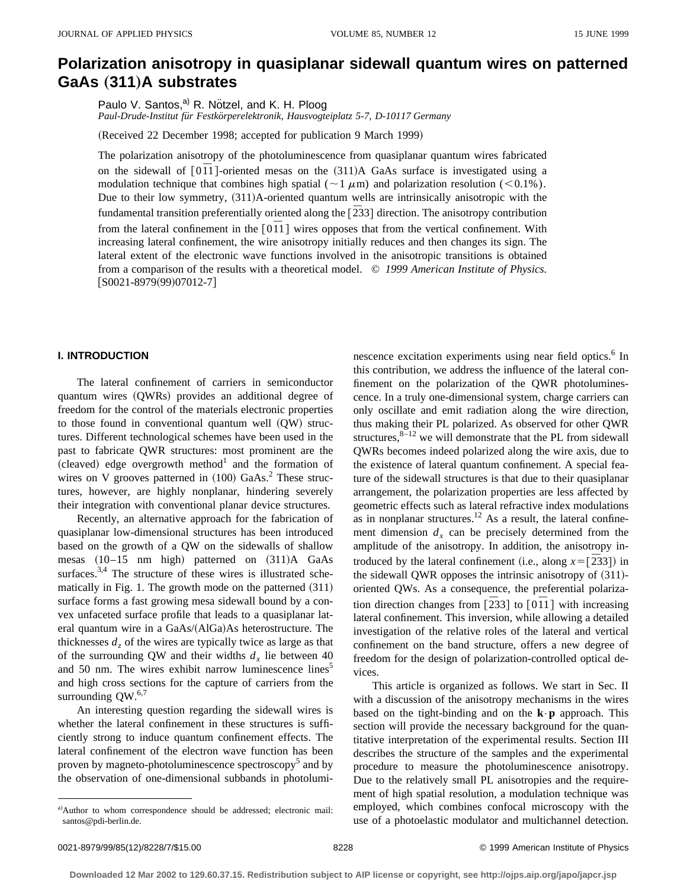# **Polarization anisotropy in quasiplanar sidewall quantum wires on patterned** GaAs  $(311)$ A substrates

Paulo V. Santos,<sup>a)</sup> R. Nötzel, and K. H. Ploog *Paul-Drude-Institut fu¨r Festko¨rperelektronik, Hausvogteiplatz 5-7, D-10117 Germany*

(Received 22 December 1998; accepted for publication 9 March 1999)

The polarization anisotropy of the photoluminescence from quasiplanar quantum wires fabricated on the sidewall of  $\lceil 0\overline{1}1 \rceil$ -oriented mesas on the  $(311)$ A GaAs surface is investigated using a modulation technique that combines high spatial ( $\sim$ 1  $\mu$ m) and polarization resolution (<0.1%). Due to their low symmetry,  $(311)$ A-oriented quantum wells are intrinsically anisotropic with the fundamental transition preferentially oriented along the  $\left[ \overline{2}33 \right]$  direction. The anisotropy contribution from the lateral confinement in the  $\lceil 0\bar{1}1 \rceil$  wires opposes that from the vertical confinement. With increasing lateral confinement, the wire anisotropy initially reduces and then changes its sign. The lateral extent of the electronic wave functions involved in the anisotropic transitions is obtained from a comparison of the results with a theoretical model. © *1999 American Institute of Physics.*  $[$ S0021-8979(99)07012-7 $]$ 

# **I. INTRODUCTION**

The lateral confinement of carriers in semiconductor quantum wires (QWRs) provides an additional degree of freedom for the control of the materials electronic properties to those found in conventional quantum well  $(QW)$  structures. Different technological schemes have been used in the past to fabricate QWR structures: most prominent are the (cleaved) edge overgrowth method<sup>1</sup> and the formation of wires on V grooves patterned in  $(100)$  GaAs.<sup>2</sup> These structures, however, are highly nonplanar, hindering severely their integration with conventional planar device structures.

Recently, an alternative approach for the fabrication of quasiplanar low-dimensional structures has been introduced based on the growth of a QW on the sidewalls of shallow mesas  $(10-15 \text{ nm high})$  patterned on  $(311)$ A GaAs surfaces.<sup>3,4</sup> The structure of these wires is illustrated schematically in Fig. 1. The growth mode on the patterned  $(311)$ surface forms a fast growing mesa sidewall bound by a convex unfaceted surface profile that leads to a quasiplanar lateral quantum wire in a GaAs/(AlGa)As heterostructure. The thicknesses  $d_7$  of the wires are typically twice as large as that of the surrounding QW and their widths  $d<sub>x</sub>$  lie between 40 and 50 nm. The wires exhibit narrow luminescence lines<sup>5</sup> and high cross sections for the capture of carriers from the surrounding  $QW<sup>6,7</sup>$ 

An interesting question regarding the sidewall wires is whether the lateral confinement in these structures is sufficiently strong to induce quantum confinement effects. The lateral confinement of the electron wave function has been proven by magneto-photoluminescence spectroscopy<sup>5</sup> and by the observation of one-dimensional subbands in photoluminescence excitation experiments using near field optics.<sup>6</sup> In this contribution, we address the influence of the lateral confinement on the polarization of the QWR photoluminescence. In a truly one-dimensional system, charge carriers can only oscillate and emit radiation along the wire direction, thus making their PL polarized. As observed for other QWR structures, $8\overline{-12}$  we will demonstrate that the PL from sidewall QWRs becomes indeed polarized along the wire axis, due to the existence of lateral quantum confinement. A special feature of the sidewall structures is that due to their quasiplanar arrangement, the polarization properties are less affected by geometric effects such as lateral refractive index modulations as in nonplanar structures.<sup>12</sup> As a result, the lateral confinement dimension  $d_x$  can be precisely determined from the amplitude of the anisotropy. In addition, the anisotropy introduced by the lateral confinement (i.e., along  $x = [\overline{2}33]$ ) in the sidewall QWR opposes the intrinsic anisotropy of  $(311)$ oriented QWs. As a consequence, the preferential polarization direction changes from  $[233]$  to  $[0\overline{1}1]$  with increasing lateral confinement. This inversion, while allowing a detailed investigation of the relative roles of the lateral and vertical confinement on the band structure, offers a new degree of freedom for the design of polarization-controlled optical devices.

This article is organized as follows. We start in Sec. II with a discussion of the anisotropy mechanisms in the wires based on the tight-binding and on the **k**•**p** approach. This section will provide the necessary background for the quantitative interpretation of the experimental results. Section III describes the structure of the samples and the experimental procedure to measure the photoluminescence anisotropy. Due to the relatively small PL anisotropies and the requirement of high spatial resolution, a modulation technique was employed, which combines confocal microscopy with the use of a photoelastic modulator and multichannel detection.

a)Author to whom correspondence should be addressed; electronic mail: santos@pdi-berlin.de.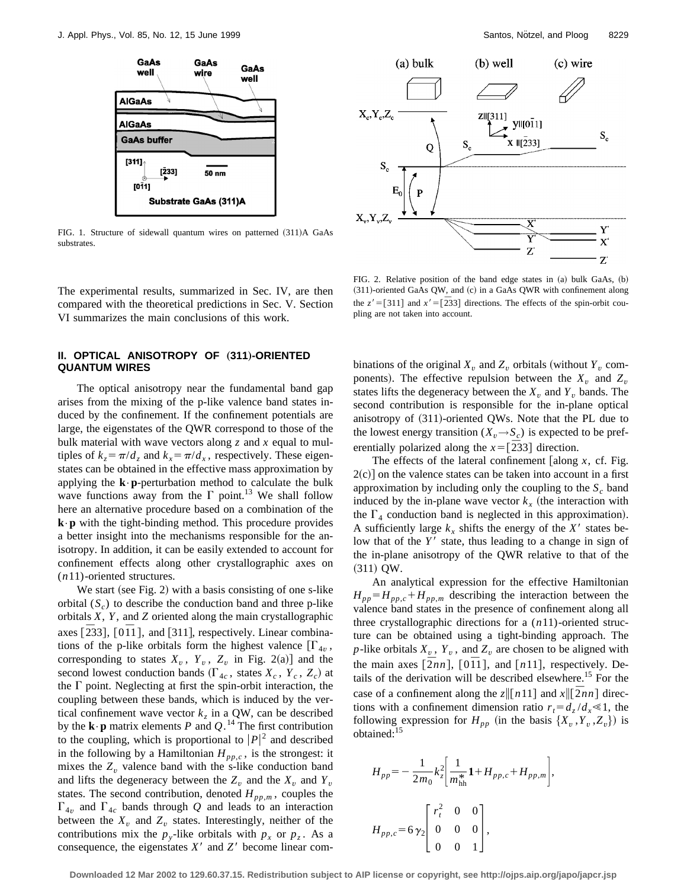

FIG. 1. Structure of sidewall quantum wires on patterned (311)A GaAs substrates.

The experimental results, summarized in Sec. IV, are then compared with the theoretical predictions in Sec. V. Section VI summarizes the main conclusions of this work.

# **II. OPTICAL ANISOTROPY OF (311)-ORIENTED QUANTUM WIRES**

The optical anisotropy near the fundamental band gap arises from the mixing of the p-like valence band states induced by the confinement. If the confinement potentials are large, the eigenstates of the QWR correspond to those of the bulk material with wave vectors along *z* and *x* equal to multiples of  $k_z = \pi/d_z$  and  $k_x = \pi/d_x$ , respectively. These eigenstates can be obtained in the effective mass approximation by applying the **k**•**p**-perturbation method to calculate the bulk wave functions away from the  $\Gamma$  point.<sup>13</sup> We shall follow here an alternative procedure based on a combination of the **k**•**p** with the tight-binding method. This procedure provides a better insight into the mechanisms responsible for the anisotropy. In addition, it can be easily extended to account for confinement effects along other crystallographic axes on (*n*11)-oriented structures.

We start (see Fig. 2) with a basis consisting of one s-like orbital  $(S_c)$  to describe the conduction band and three p-like orbitals *X*, *Y*, and *Z* oriented along the main crystallographic axes  $[233]$ ,  $[0\overline{1}1]$ , and  $[311]$ , respectively. Linear combinations of the p-like orbitals form the highest valence  $[\Gamma_{4v}$ , corresponding to states  $X_v$ ,  $Y_v$ ,  $Z_v$  in Fig. 2(a)] and the second lowest conduction bands ( $\Gamma_{4c}$ , states  $X_c$ ,  $Y_c$ ,  $Z_c$ ) at the  $\Gamma$  point. Neglecting at first the spin-orbit interaction, the coupling between these bands, which is induced by the vertical confinement wave vector  $k_z$  in a QW, can be described by the  $\mathbf{k} \cdot \mathbf{p}$  matrix elements *P* and  $Q$ .<sup>14</sup> The first contribution to the coupling, which is proportional to  $|P|^2$  and described in the following by a Hamiltonian  $H_{pp,c}$ , is the strongest: it mixes the  $Z<sub>v</sub>$  valence band with the s-like conduction band and lifts the degeneracy between the  $Z_v$  and the  $X_v$  and  $Y_v$ states. The second contribution, denoted  $H_{pp,m}$ , couples the  $\Gamma_{4v}$  and  $\Gamma_{4c}$  bands through *Q* and leads to an interaction between the  $X_v$  and  $Z_v$  states. Interestingly, neither of the contributions mix the  $p_y$ -like orbitals with  $p_x$  or  $p_z$ . As a consequence, the eigenstates  $X'$  and  $Z'$  become linear com-



FIG. 2. Relative position of the band edge states in  $(a)$  bulk GaAs,  $(b)$ (311)-oriented GaAs QW, and (c) in a GaAs QWR with confinement along the  $z' = [311]$  and  $x' = [\overline{2}33]$  directions. The effects of the spin-orbit coupling are not taken into account.

binations of the original  $X_v$  and  $Z_v$  orbitals (without  $Y_v$  components). The effective repulsion between the  $X_v$  and  $Z_v$ states lifts the degeneracy between the  $X_v$  and  $Y_v$  bands. The second contribution is responsible for the in-plane optical anisotropy of  $(311)$ -oriented QWs. Note that the PL due to the lowest energy transition  $(X_v \rightarrow S_c)$  is expected to be preferentially polarized along the  $x = [\overline{2}33]$  direction.

The effects of the lateral confinement  $[along x, cf. Fig.$  $2(c)$  on the valence states can be taken into account in a first approximation by including only the coupling to the  $S_c$  band induced by the in-plane wave vector  $k<sub>x</sub>$  (the interaction with the  $\Gamma_4$  conduction band is neglected in this approximation). A sufficiently large  $k_x$  shifts the energy of the  $X'$  states below that of the *Y'* state, thus leading to a change in sign of the in-plane anisotropy of the QWR relative to that of the  $(311)$  QW.

An analytical expression for the effective Hamiltonian  $H_{pp} = H_{pp,c} + H_{pp,m}$  describing the interaction between the valence band states in the presence of confinement along all three crystallographic directions for a (*n*11)-oriented structure can be obtained using a tight-binding approach. The *p*-like orbitals  $X_v$ ,  $Y_v$ , and  $Z_v$  are chosen to be aligned with the main axes  $[\overline{2}nn]$ ,  $[0\overline{1}1]$ , and  $[n11]$ , respectively. Details of the derivation will be described elsewhere.<sup>15</sup> For the case of a confinement along the  $z \sim \pi$  and  $x \sim \pi$  and  $z \sim \pi$  are  $z \sim \pi$ tions with a confinement dimension ratio  $r_t = d_z/d_x \le 1$ , the following expression for  $H_{pp}$  (in the basis  $\{X_v, Y_v, Z_v\}$ ) is obtained:15

$$
H_{pp} = -\frac{1}{2m_0} k_z^2 \left[ \frac{1}{m_{\text{hh}}^*} \mathbf{1} + H_{pp,c} + H_{pp,m} \right],
$$
  

$$
H_{pp,c} = 6 \gamma_2 \left[ \begin{array}{ccc} r_t^2 & 0 & 0 \\ 0 & 0 & 0 \\ 0 & 0 & 1 \end{array} \right],
$$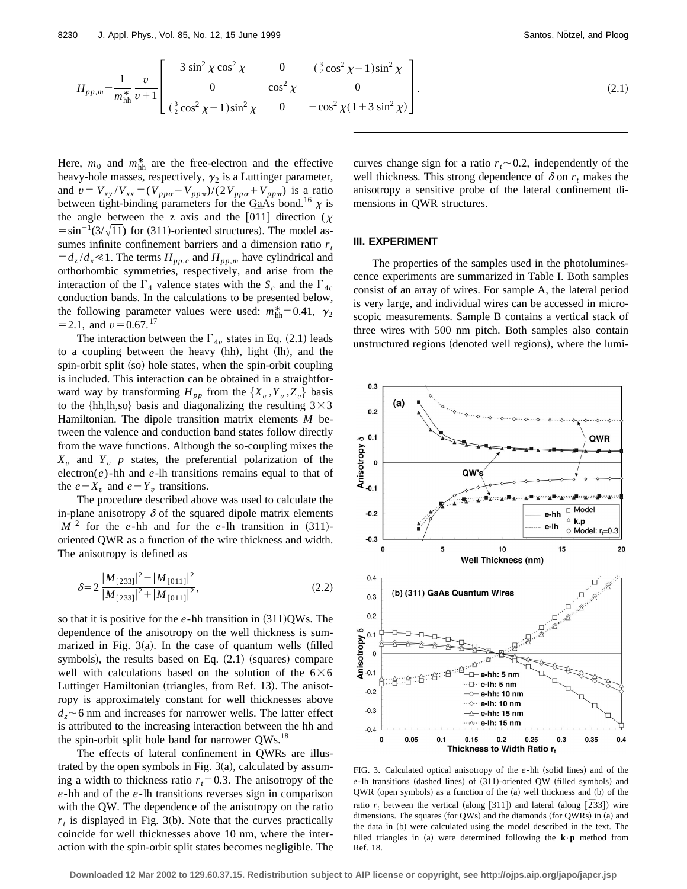$$
H_{pp,m} = \frac{1}{m_{\text{hh}}^*} \frac{v}{v+1} \begin{bmatrix} 3\sin^2 \chi \cos^2 \chi & 0 & (\frac{3}{2}\cos^2 \chi - 1)\sin^2 \chi \\ 0 & \cos^2 \chi & 0 \\ (\frac{3}{2}\cos^2 \chi - 1)\sin^2 \chi & 0 & -\cos^2 \chi(1+3\sin^2 \chi) \end{bmatrix} .
$$
 (2.1)

Here,  $m_0$  and  $m_{hh}^*$  are the free-electron and the effective heavy-hole masses, respectively,  $\gamma_2$  is a Luttinger parameter, and  $v = V_{xy}/V_{xx} = (V_{pp\sigma} - V_{pp\pi})/(2V_{pp\sigma} + V_{pp\pi})$  is a ratio between tight-binding parameters for the GaAs bond.<sup>16</sup>  $\chi$  is the angle between the z axis and the [011] direction ( $\chi$  $=\sin^{-1}(3/\sqrt{11})$  for (311)-oriented structures). The model assumes infinite confinement barriers and a dimension ratio  $r_t$  $=$   $d_z/d_x \le 1$ . The terms  $H_{pp,c}$  and  $H_{pp,m}$  have cylindrical and orthorhombic symmetries, respectively, and arise from the interaction of the  $\Gamma_4$  valence states with the  $S_c$  and the  $\Gamma_{4c}$ conduction bands. In the calculations to be presented below, the following parameter values were used:  $m_{\text{hh}}^* = 0.41$ ,  $\gamma_2$  $=$  2.1, and  $v = 0.67$ .<sup>17</sup>

The interaction between the  $\Gamma_{4v}$  states in Eq. (2.1) leads to a coupling between the heavy  $(hh)$ , light  $(lh)$ , and the spin-orbit split  $~(so)$  hole states, when the spin-orbit coupling is included. This interaction can be obtained in a straightforward way by transforming  $H_{pp}$  from the  $\{X_v, Y_v, Z_v\}$  basis to the  $\{hh,lh,so\}$  basis and diagonalizing the resulting  $3\times3$ Hamiltonian. The dipole transition matrix elements *M* between the valence and conduction band states follow directly from the wave functions. Although the so-coupling mixes the  $X_v$  and  $Y_v$  *p* states, the preferential polarization of the electron(*e*)-hh and *e*-lh transitions remains equal to that of the  $e-X_v$  and  $e-Y_v$  transitions.

The procedure described above was used to calculate the in-plane anisotropy  $\delta$  of the squared dipole matrix elements  $|M|^2$  for the *e*-hh and for the *e*-lh transition in (311)oriented QWR as a function of the wire thickness and width. The anisotropy is defined as

$$
\delta = 2 \frac{|M_{\left[233\right]}|^2 - |M_{\left[0\right]1\right]}|^2}{|M_{\left[233\right]}|^2 + |M_{\left[0\right]1\right]}|^2},\tag{2.2}
$$

so that it is positive for the  $e$ -hh transition in  $(311)$ QWs. The dependence of the anisotropy on the well thickness is summarized in Fig.  $3(a)$ . In the case of quantum wells (filled symbols), the results based on Eq.  $(2.1)$  (squares) compare well with calculations based on the solution of the  $6\times6$ Luttinger Hamiltonian (triangles, from Ref. 13). The anisotropy is approximately constant for well thicknesses above  $d<sub>z</sub>$   $\sim$  6 nm and increases for narrower wells. The latter effect is attributed to the increasing interaction between the hh and the spin-orbit split hole band for narrower  $QWs.$ <sup>18</sup>

The effects of lateral confinement in QWRs are illustrated by the open symbols in Fig.  $3(a)$ , calculated by assuming a width to thickness ratio  $r<sub>t</sub>=0.3$ . The anisotropy of the *e*-hh and of the *e*-lh transitions reverses sign in comparison with the QW. The dependence of the anisotropy on the ratio  $r<sub>t</sub>$  is displayed in Fig. 3(b). Note that the curves practically coincide for well thicknesses above 10 nm, where the interaction with the spin-orbit split states becomes negligible. The curves change sign for a ratio  $r<sub>t</sub>$   $\sim$  0.2, independently of the well thickness. This strong dependence of  $\delta$  on  $r_t$  makes the anisotropy a sensitive probe of the lateral confinement dimensions in QWR structures.

# **III. EXPERIMENT**

The properties of the samples used in the photoluminescence experiments are summarized in Table I. Both samples consist of an array of wires. For sample A, the lateral period is very large, and individual wires can be accessed in microscopic measurements. Sample B contains a vertical stack of three wires with 500 nm pitch. Both samples also contain unstructured regions (denoted well regions), where the lumi-



FIG. 3. Calculated optical anisotropy of the *e*-hh (solid lines) and of the  $e$ -lh transitions (dashed lines) of  $(311)$ -oriented QW (filled symbols) and  $QWR$  (open symbols) as a function of the  $(a)$  well thickness and  $(b)$  of the ratio  $r_t$  between the vertical (along [311]) and lateral (along [ $\overline{2}$ 33]) wire dimensions. The squares (for QWs) and the diamonds (for QWRs) in  $(a)$  and the data in (b) were calculated using the model described in the text. The filled triangles in (a) were determined following the  $\mathbf{k} \cdot \mathbf{p}$  method from Ref. 18.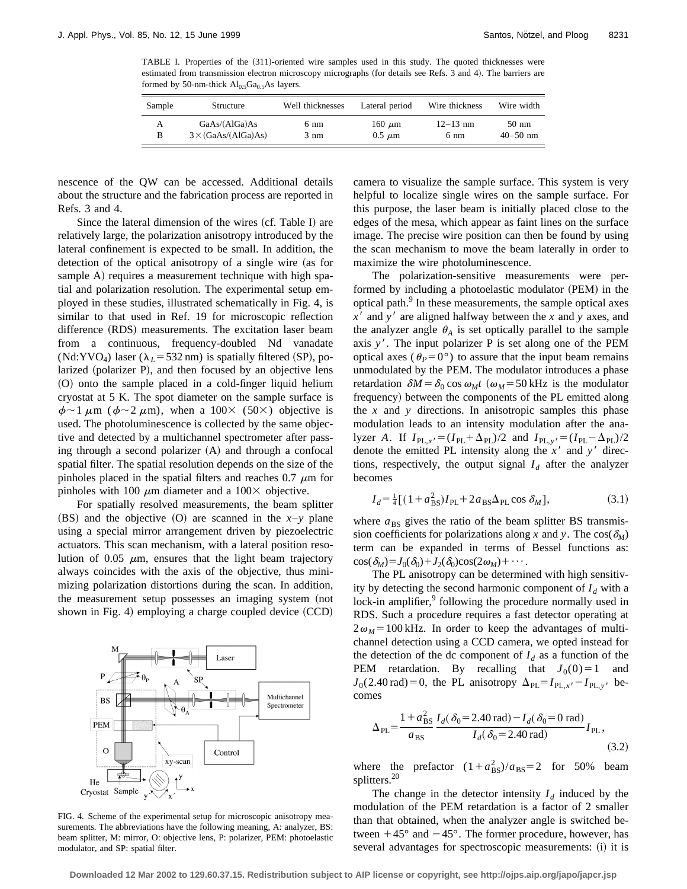TABLE I. Properties of the (311)-oriented wire samples used in this study. The quoted thicknesses were estimated from transmission electron microscopy micrographs (for details see Refs. 3 and 4). The barriers are formed by 50-nm-thick  $Al<sub>0.5</sub>Ga<sub>0.5</sub>As layers.$ 

| Sample | Structure                  | Well thicknesses | Lateral period | Wire thickness | Wire width      |
|--------|----------------------------|------------------|----------------|----------------|-----------------|
|        | GaAs/(AlGa)As              | 6 nm             | 160 $\mu$ m    | $12 - 13$ nm   | $50 \text{ nm}$ |
|        | $3 \times (GaAs/(AlGa)As)$ | 3 nm             | $0.5 \mu m$    | 6 nm           | $40 - 50$ nm    |

nescence of the QW can be accessed. Additional details about the structure and the fabrication process are reported in Refs. 3 and 4.

Since the lateral dimension of the wires  $(cf.$  Table I) are relatively large, the polarization anisotropy introduced by the lateral confinement is expected to be small. In addition, the detection of the optical anisotropy of a single wire (as for sample A) requires a measurement technique with high spatial and polarization resolution. The experimental setup employed in these studies, illustrated schematically in Fig. 4, is similar to that used in Ref. 19 for microscopic reflection difference (RDS) measurements. The excitation laser beam from a continuous, frequency-doubled Nd vanadate (Nd:YVO<sub>4</sub>) laser ( $\lambda_L$ =532 nm) is spatially filtered (SP), polarized (polarizer  $P$ ), and then focused by an objective lens ~O! onto the sample placed in a cold-finger liquid helium cryostat at 5 K. The spot diameter on the sample surface is  $\phi \sim 1 \mu m$  ( $\phi \sim 2 \mu m$ ), when a 100× (50×) objective is used. The photoluminescence is collected by the same objective and detected by a multichannel spectrometer after passing through a second polarizer  $(A)$  and through a confocal spatial filter. The spatial resolution depends on the size of the pinholes placed in the spatial filters and reaches  $0.7 \mu m$  for pinholes with 100  $\mu$ m diameter and a 100 $\times$  objective.

For spatially resolved measurements, the beam splitter  $(BS)$  and the objective  $(O)$  are scanned in the  $x-y$  plane using a special mirror arrangement driven by piezoelectric actuators. This scan mechanism, with a lateral position resolution of 0.05  $\mu$ m, ensures that the light beam trajectory always coincides with the axis of the objective, thus minimizing polarization distortions during the scan. In addition, the measurement setup possesses an imaging system (not shown in Fig. 4) employing a charge coupled device  $(CCD)$ 



FIG. 4. Scheme of the experimental setup for microscopic anisotropy measurements. The abbreviations have the following meaning, A: analyzer, BS: beam splitter, M: mirror, O: objective lens, P: polarizer, PEM: photoelastic modulator, and SP: spatial filter.

camera to visualize the sample surface. This system is very helpful to localize single wires on the sample surface. For this purpose, the laser beam is initially placed close to the edges of the mesa, which appear as faint lines on the surface image. The precise wire position can then be found by using the scan mechanism to move the beam laterally in order to maximize the wire photoluminescence.

The polarization-sensitive measurements were performed by including a photoelastic modulator (PEM) in the optical path.<sup>9</sup> In these measurements, the sample optical axes  $x<sup>3</sup>$  and  $y<sup>3</sup>$  are aligned halfway between the *x* and *y* axes, and the analyzer angle  $\theta_A$  is set optically parallel to the sample axis  $y'$ . The input polarizer P is set along one of the PEM optical axes ( $\theta_P = 0^\circ$ ) to assure that the input beam remains unmodulated by the PEM. The modulator introduces a phase retardation  $\delta M = \delta_0 \cos \omega_M t$  ( $\omega_M = 50$  kHz is the modulator frequency) between the components of the PL emitted along the *x* and *y* directions. In anisotropic samples this phase modulation leads to an intensity modulation after the analyzer *A*. If  $I_{PL,x'} = (I_{PL} + \Delta_{PL})/2$  and  $I_{PL,y'} = (I_{PL} - \Delta_{PL})/2$ denote the emitted PL intensity along the  $x<sup>3</sup>$  and  $y<sup>4</sup>$  directions, respectively, the output signal  $I_d$  after the analyzer becomes

$$
I_d = \frac{1}{4} [(1 + a_{\text{BS}}^2) I_{\text{PL}} + 2 a_{\text{BS}} \Delta_{\text{PL}} \cos \delta_M],
$$
 (3.1)

where  $a_{\text{BS}}$  gives the ratio of the beam splitter BS transmission coefficients for polarizations along *x* and *y*. The  $cos(\delta_M)$ term can be expanded in terms of Bessel functions as:  $\cos(\delta_M) = J_0(\delta_0) + J_2(\delta_0)\cos(2\omega_M) + \cdots$ .

The PL anisotropy can be determined with high sensitivity by detecting the second harmonic component of  $I_d$  with a lock-in amplifier,<sup>9</sup> following the procedure normally used in RDS. Such a procedure requires a fast detector operating at  $2\omega_M$ =100 kHz. In order to keep the advantages of multichannel detection using a CCD camera, we opted instead for the detection of the dc component of  $I_d$  as a function of the PEM retardation. By recalling that  $J_0(0)=1$  and  $J_0(2.40 \text{ rad})=0$ , the PL anisotropy  $\Delta_{PL} = I_{PL,x'} - I_{PL,y'}$  becomes

$$
\Delta_{\rm PL} = \frac{1 + a_{\rm BS}^2}{a_{\rm BS}} \frac{I_d(\delta_0 = 2.40 \text{ rad}) - I_d(\delta_0 = 0 \text{ rad})}{I_d(\delta_0 = 2.40 \text{ rad})} I_{\rm PL},
$$
\n(3.2)

where the prefactor  $(1+a_{\text{BS}}^2)/a_{\text{BS}}=2$  for 50% beam splitters.<sup>20</sup>

The change in the detector intensity  $I_d$  induced by the modulation of the PEM retardation is a factor of 2 smaller than that obtained, when the analyzer angle is switched between  $+45^{\circ}$  and  $-45^{\circ}$ . The former procedure, however, has several advantages for spectroscopic measurements: (i) it is

**Downloaded 12 Mar 2002 to 129.60.37.15. Redistribution subject to AIP license or copyright, see http://ojps.aip.org/japo/japcr.jsp**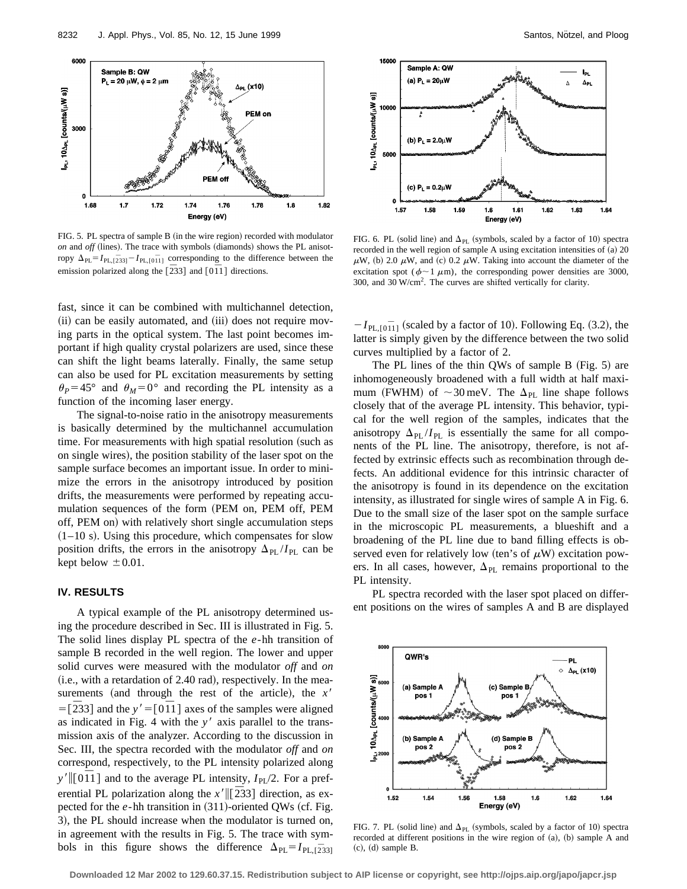

FIG. 5. PL spectra of sample B (in the wire region) recorded with modulator  $on$  and  $off$  (lines). The trace with symbols (diamonds) shows the PL anisotropy  $\Delta_{PL} = I_{PL, \overline{2}33} - I_{PL, \overline{0}11}$  corresponding to the difference between the emission polarized along the  $\left[233\right]$  and  $\left[0\overline{1}1\right]$  directions.

fast, since it can be combined with multichannel detection, (ii) can be easily automated, and (iii) does not require moving parts in the optical system. The last point becomes important if high quality crystal polarizers are used, since these can shift the light beams laterally. Finally, the same setup can also be used for PL excitation measurements by setting  $\theta_P = 45^\circ$  and  $\theta_M = 0^\circ$  and recording the PL intensity as a function of the incoming laser energy.

The signal-to-noise ratio in the anisotropy measurements is basically determined by the multichannel accumulation time. For measurements with high spatial resolution (such as on single wires), the position stability of the laser spot on the sample surface becomes an important issue. In order to minimize the errors in the anisotropy introduced by position drifts, the measurements were performed by repeating accumulation sequences of the form (PEM on, PEM off, PEM off, PEM on) with relatively short single accumulation steps  $(1–10 s)$ . Using this procedure, which compensates for slow position drifts, the errors in the anisotropy  $\Delta_{PL}/I_{PL}$  can be kept below  $\pm 0.01$ .

# **IV. RESULTS**

A typical example of the PL anisotropy determined using the procedure described in Sec. III is illustrated in Fig. 5. The solid lines display PL spectra of the *e*-hh transition of sample B recorded in the well region. The lower and upper solid curves were measured with the modulator *off* and *on*  $(i.e., with a retardation of 2.40 rad), respectively. In the mea$ surements (and through the rest of the article), the  $x<sup>8</sup>$  $=$   $\left[233\right]$  and the *y*'  $=$   $\left[0\overline{1}1\right]$  axes of the samples were aligned as indicated in Fig. 4 with the  $y'$  axis parallel to the transmission axis of the analyzer. According to the discussion in Sec. III, the spectra recorded with the modulator *off* and *on* correspond, respectively, to the PL intensity polarized along  $y'$  [[0 $\overline{1}1$ ] and to the average PL intensity,  $I_{\text{PI}}/2$ . For a preferential PL polarization along the  $x' || [\overline{2}33]$  direction, as expected for the *e*-hh transition in (311)-oriented QWs (cf. Fig. 3), the PL should increase when the modulator is turned on, in agreement with the results in Fig. 5. The trace with symbols in this figure shows the difference  $\Delta_{PL} = I_{PL,1} \bar{2}$ 



FIG. 6. PL (solid line) and  $\Delta_{PL}$  (symbols, scaled by a factor of 10) spectra recorded in the well region of sample A using excitation intensities of  $(a)$  20  $\mu$ W, (b) 2.0  $\mu$ W, and (c) 0.2  $\mu$ W. Taking into account the diameter of the excitation spot ( $\phi \sim 1 \mu$ m), the corresponding power densities are 3000, 300, and 30 W/cm2 . The curves are shifted vertically for clarity.

 $-I_{\text{PL},[0\bar{1}]}$  (scaled by a factor of 10). Following Eq. (3.2), the latter is simply given by the difference between the two solid curves multiplied by a factor of 2.

The PL lines of the thin QWs of sample B  $(Fig. 5)$  are inhomogeneously broadened with a full width at half maximum (FWHM) of  $\sim$ 30 meV. The  $\Delta_{PL}$  line shape follows closely that of the average PL intensity. This behavior, typical for the well region of the samples, indicates that the anisotropy  $\Delta_{PL}/I_{PL}$  is essentially the same for all components of the PL line. The anisotropy, therefore, is not affected by extrinsic effects such as recombination through defects. An additional evidence for this intrinsic character of the anisotropy is found in its dependence on the excitation intensity, as illustrated for single wires of sample A in Fig. 6. Due to the small size of the laser spot on the sample surface in the microscopic PL measurements, a blueshift and a broadening of the PL line due to band filling effects is observed even for relatively low (ten's of  $\mu$ W) excitation powers. In all cases, however,  $\Delta_{PL}$  remains proportional to the PL intensity.

PL spectra recorded with the laser spot placed on different positions on the wires of samples A and B are displayed



FIG. 7. PL (solid line) and  $\Delta_{PL}$  (symbols, scaled by a factor of 10) spectra recorded at different positions in the wire region of  $(a)$ ,  $(b)$  sample A and  $(c)$ ,  $(d)$  sample B.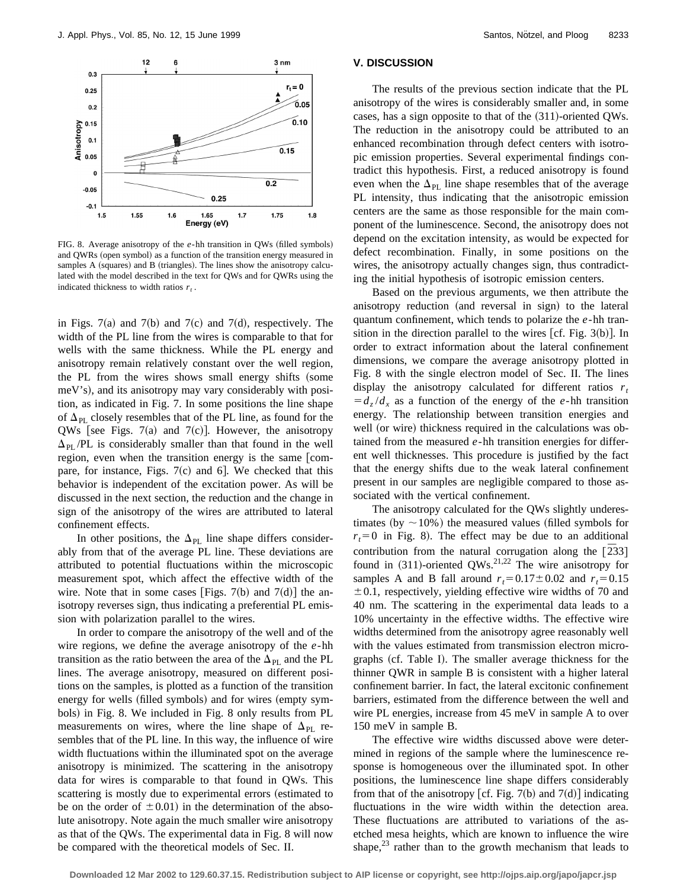

FIG. 8. Average anisotropy of the *e*-hh transition in QWs (filled symbols) and OWRs (open symbol) as a function of the transition energy measured in samples A (squares) and B (triangles). The lines show the anisotropy calculated with the model described in the text for QWs and for QWRs using the indicated thickness to width ratios  $r_t$ .

in Figs. 7(a) and 7(b) and 7(c) and 7(d), respectively. The width of the PL line from the wires is comparable to that for wells with the same thickness. While the PL energy and anisotropy remain relatively constant over the well region, the PL from the wires shows small energy shifts (some  $meV$ 's), and its anisotropy may vary considerably with position, as indicated in Fig. 7. In some positions the line shape of  $\Delta_{\text{PL}}$  closely resembles that of the PL line, as found for the QWs [see Figs. 7(a) and 7(c)]. However, the anisotropy  $\Delta_{PL}$ /PL is considerably smaller than that found in the well region, even when the transition energy is the same [compare, for instance, Figs.  $7(c)$  and 6. We checked that this behavior is independent of the excitation power. As will be discussed in the next section, the reduction and the change in sign of the anisotropy of the wires are attributed to lateral confinement effects.

In other positions, the  $\Delta_{PL}$  line shape differs considerably from that of the average PL line. These deviations are attributed to potential fluctuations within the microscopic measurement spot, which affect the effective width of the wire. Note that in some cases [Figs. 7(b) and 7(d)] the anisotropy reverses sign, thus indicating a preferential PL emission with polarization parallel to the wires.

In order to compare the anisotropy of the well and of the wire regions, we define the average anisotropy of the *e*-hh transition as the ratio between the area of the  $\Delta_{PL}$  and the PL lines. The average anisotropy, measured on different positions on the samples, is plotted as a function of the transition energy for wells (filled symbols) and for wires (empty symbols) in Fig. 8. We included in Fig. 8 only results from PL measurements on wires, where the line shape of  $\Delta_{PL}$  resembles that of the PL line. In this way, the influence of wire width fluctuations within the illuminated spot on the average anisotropy is minimized. The scattering in the anisotropy data for wires is comparable to that found in QWs. This scattering is mostly due to experimental errors (estimated to be on the order of  $\pm 0.01$ ) in the determination of the absolute anisotropy. Note again the much smaller wire anisotropy as that of the QWs. The experimental data in Fig. 8 will now be compared with the theoretical models of Sec. II.

#### **V. DISCUSSION**

The results of the previous section indicate that the PL anisotropy of the wires is considerably smaller and, in some cases, has a sign opposite to that of the  $(311)$ -oriented QWs. The reduction in the anisotropy could be attributed to an enhanced recombination through defect centers with isotropic emission properties. Several experimental findings contradict this hypothesis. First, a reduced anisotropy is found even when the  $\Delta_{PL}$  line shape resembles that of the average PL intensity, thus indicating that the anisotropic emission centers are the same as those responsible for the main component of the luminescence. Second, the anisotropy does not depend on the excitation intensity, as would be expected for defect recombination. Finally, in some positions on the wires, the anisotropy actually changes sign, thus contradicting the initial hypothesis of isotropic emission centers.

Based on the previous arguments, we then attribute the anisotropy reduction (and reversal in sign) to the lateral quantum confinement, which tends to polarize the *e*-hh transition in the direction parallel to the wires  $[cf. Fig. 3(b)].$  In order to extract information about the lateral confinement dimensions, we compare the average anisotropy plotted in Fig. 8 with the single electron model of Sec. II. The lines display the anisotropy calculated for different ratios  $r<sub>t</sub>$  $= d_z/d_x$  as a function of the energy of the *e*-hh transition energy. The relationship between transition energies and well (or wire) thickness required in the calculations was obtained from the measured *e*-hh transition energies for different well thicknesses. This procedure is justified by the fact that the energy shifts due to the weak lateral confinement present in our samples are negligible compared to those associated with the vertical confinement.

The anisotropy calculated for the QWs slightly underestimates (by  $\sim$  10%) the measured values (filled symbols for  $r<sub>t</sub>=0$  in Fig. 8). The effect may be due to an additional contribution from the natural corrugation along the  $[233]$ found in  $(311)$ -oriented QWs.<sup>21,22</sup> The wire anisotropy for samples A and B fall around  $r_t = 0.17 \pm 0.02$  and  $r_t = 0.15$  $\pm$  0.1, respectively, yielding effective wire widths of 70 and 40 nm. The scattering in the experimental data leads to a 10% uncertainty in the effective widths. The effective wire widths determined from the anisotropy agree reasonably well with the values estimated from transmission electron micrographs (cf. Table I). The smaller average thickness for the thinner QWR in sample B is consistent with a higher lateral confinement barrier. In fact, the lateral excitonic confinement barriers, estimated from the difference between the well and wire PL energies, increase from 45 meV in sample A to over 150 meV in sample B.

The effective wire widths discussed above were determined in regions of the sample where the luminescence response is homogeneous over the illuminated spot. In other positions, the luminescence line shape differs considerably from that of the anisotropy [cf. Fig. 7(b) and 7(d)] indicating fluctuations in the wire width within the detection area. These fluctuations are attributed to variations of the asetched mesa heights, which are known to influence the wire shape, $^{23}$  rather than to the growth mechanism that leads to